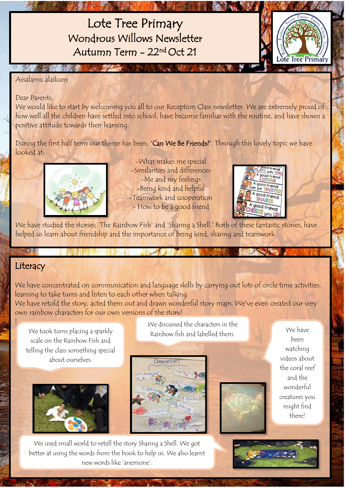Lote Tree Primary Wondrous Willows Newsletter Autumn Term - 22 nd Oct 21



Assalamu alaikum

Dear Parents,

We would like to start by welcoming you all to our Reception Class newsletter. We are extremely proud of how well all the children have settled into school, have become familiar with the routine, and have shown a positive attitude towards their learning.

During the first half term our theme has been, 'Can We Be Friends?'. Through this lovely topic we have looked at;



-What makes me special -Similarities and differences -Me and my feelings -Being kind and helpful -Teamwork and cooperation - How to be a good friend



We have studied the stories; 'The Rainbow Fish' and 'Sharing a Shell.' Both of these fantastic stories, have helped us learn about friendship and the importance of being kind, sharing and teamwork.

## **Literacy**

!

÷

We have concentrated on communication and language skills by carrying out lots of circle time activities, learning to take turns and listen to each other when talking.

We have retold the story, acted them out and drawn wonderful story maps. We've even created our very own rainbow characters for our own versions of the story!

We took turns placing a sparkly scale on the Rainbow Fish and telling the class something special about ourselves.



We discussed the characters in the Rainbow fish and labelled them.



We have been watching videos about the coral reef and the wonderful creatures you might find there!

We used small world to retell the story Sharing a Shell. We got better at using the words from the book to help us. We also learnt new words like 'anemone'.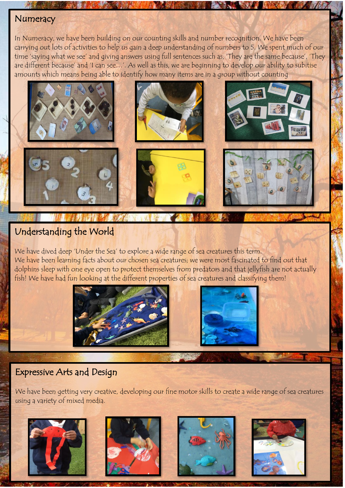### **Numeracy**

In Numeracy, we have been building on our counting skills and number recognition. We have been carrying out lots of activities to help us gain a deep understanding of numbers to 5. We spent much of our time 'saying what we see' and giving answers using full sentences such as, 'They are the same because', 'They are different because' and 'I can see…'. As well as this, we are beginning to develop our ability to subitise amounts which means being able to identify how many items are in a group without counting



### Understanding the World

We have dived deep 'Under the Sea' to explore a wide range of sea creatures this term. We have been learning facts about our chosen sea creatures; we were most fascinated to find out that dolphins sleep with one eye open to protect themselves from predators and that jellyfish are not actually fish! We have had fun looking at the different properties of sea creatures and classifying them!





#### i Expressive Arts and Design

3

j ŧ

 We have been getting very creative, developing our fine motor skills to create a wide range of sea creatures using a variety of mixed media.